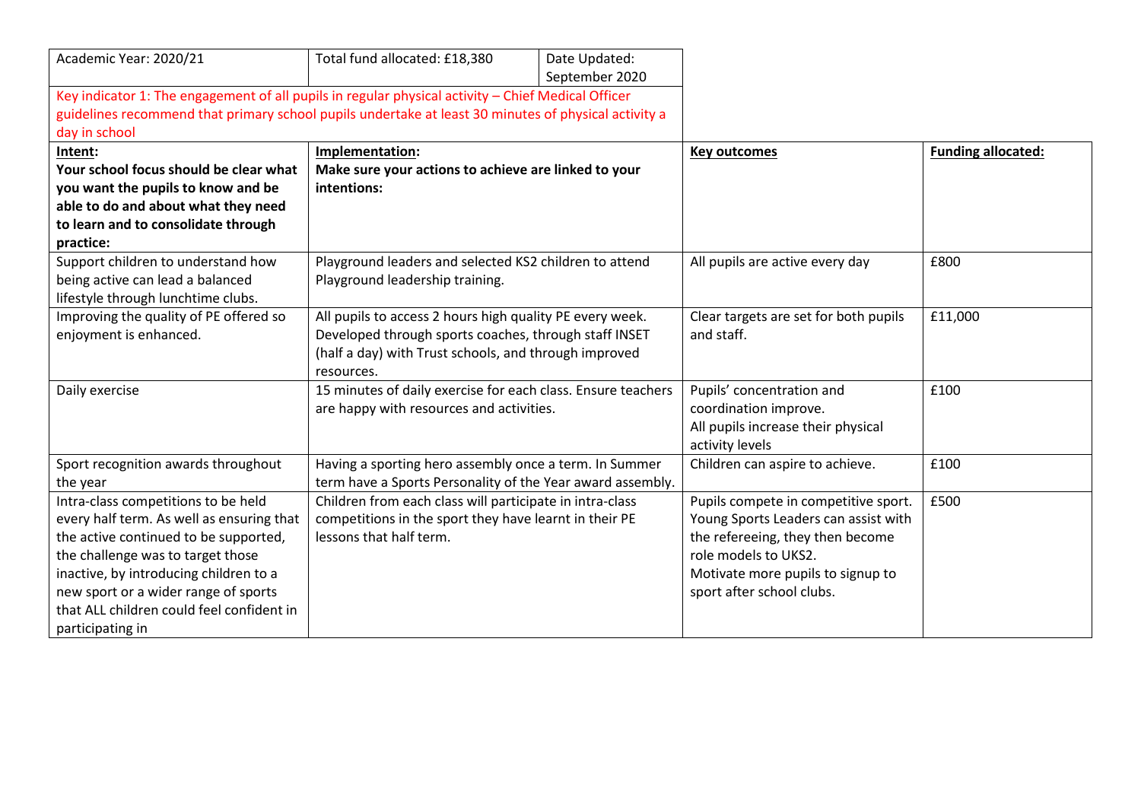| Academic Year: 2020/21                                                                               | Total fund allocated: £18,380                                | Date Updated:  |                                       |                           |
|------------------------------------------------------------------------------------------------------|--------------------------------------------------------------|----------------|---------------------------------------|---------------------------|
|                                                                                                      |                                                              | September 2020 |                                       |                           |
| Key indicator 1: The engagement of all pupils in regular physical activity - Chief Medical Officer   |                                                              |                |                                       |                           |
| guidelines recommend that primary school pupils undertake at least 30 minutes of physical activity a |                                                              |                |                                       |                           |
| day in school                                                                                        |                                                              |                |                                       |                           |
| Intent:                                                                                              | Implementation:                                              |                | <b>Key outcomes</b>                   | <b>Funding allocated:</b> |
| Your school focus should be clear what                                                               | Make sure your actions to achieve are linked to your         |                |                                       |                           |
| you want the pupils to know and be                                                                   | intentions:                                                  |                |                                       |                           |
| able to do and about what they need                                                                  |                                                              |                |                                       |                           |
| to learn and to consolidate through                                                                  |                                                              |                |                                       |                           |
| practice:                                                                                            |                                                              |                |                                       |                           |
| Support children to understand how                                                                   | Playground leaders and selected KS2 children to attend       |                | All pupils are active every day       | £800                      |
| being active can lead a balanced                                                                     | Playground leadership training.                              |                |                                       |                           |
| lifestyle through lunchtime clubs.                                                                   |                                                              |                |                                       |                           |
| Improving the quality of PE offered so                                                               | All pupils to access 2 hours high quality PE every week.     |                | Clear targets are set for both pupils | £11,000                   |
| enjoyment is enhanced.                                                                               | Developed through sports coaches, through staff INSET        |                | and staff.                            |                           |
|                                                                                                      | (half a day) with Trust schools, and through improved        |                |                                       |                           |
|                                                                                                      | resources.                                                   |                |                                       |                           |
| Daily exercise                                                                                       | 15 minutes of daily exercise for each class. Ensure teachers |                | Pupils' concentration and             | £100                      |
|                                                                                                      | are happy with resources and activities.                     |                | coordination improve.                 |                           |
|                                                                                                      |                                                              |                | All pupils increase their physical    |                           |
|                                                                                                      |                                                              |                | activity levels                       |                           |
| Sport recognition awards throughout                                                                  | Having a sporting hero assembly once a term. In Summer       |                | Children can aspire to achieve.       | £100                      |
| the year                                                                                             | term have a Sports Personality of the Year award assembly.   |                |                                       |                           |
| Intra-class competitions to be held                                                                  | Children from each class will participate in intra-class     |                | Pupils compete in competitive sport.  | £500                      |
| every half term. As well as ensuring that                                                            | competitions in the sport they have learnt in their PE       |                | Young Sports Leaders can assist with  |                           |
| the active continued to be supported,                                                                | lessons that half term.                                      |                | the refereeing, they then become      |                           |
| the challenge was to target those                                                                    |                                                              |                | role models to UKS2.                  |                           |
| inactive, by introducing children to a                                                               |                                                              |                | Motivate more pupils to signup to     |                           |
| new sport or a wider range of sports                                                                 |                                                              |                | sport after school clubs.             |                           |
| that ALL children could feel confident in                                                            |                                                              |                |                                       |                           |
| participating in                                                                                     |                                                              |                |                                       |                           |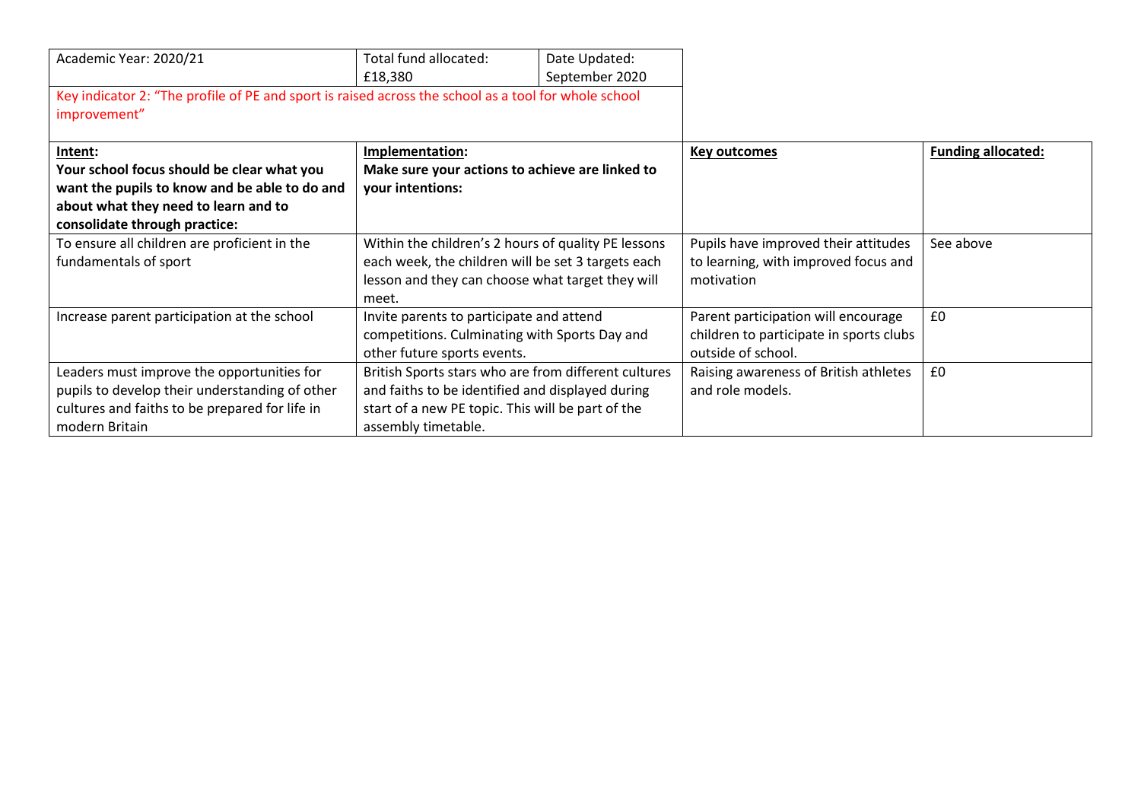| Academic Year: 2020/21                                                                               | Total fund allocated:<br>£18,380                     | Date Updated:<br>September 2020 |                                         |                           |
|------------------------------------------------------------------------------------------------------|------------------------------------------------------|---------------------------------|-----------------------------------------|---------------------------|
| Key indicator 2: "The profile of PE and sport is raised across the school as a tool for whole school |                                                      |                                 |                                         |                           |
| improvement"                                                                                         |                                                      |                                 |                                         |                           |
|                                                                                                      |                                                      |                                 |                                         |                           |
| Intent:                                                                                              | Implementation:                                      |                                 | <b>Key outcomes</b>                     | <b>Funding allocated:</b> |
| Your school focus should be clear what you                                                           | Make sure your actions to achieve are linked to      |                                 |                                         |                           |
| want the pupils to know and be able to do and                                                        | your intentions:                                     |                                 |                                         |                           |
| about what they need to learn and to                                                                 |                                                      |                                 |                                         |                           |
| consolidate through practice:                                                                        |                                                      |                                 |                                         |                           |
| To ensure all children are proficient in the                                                         | Within the children's 2 hours of quality PE lessons  |                                 | Pupils have improved their attitudes    | See above                 |
| fundamentals of sport                                                                                | each week, the children will be set 3 targets each   |                                 | to learning, with improved focus and    |                           |
|                                                                                                      | lesson and they can choose what target they will     |                                 | motivation                              |                           |
|                                                                                                      | meet.                                                |                                 |                                         |                           |
| Increase parent participation at the school                                                          | Invite parents to participate and attend             |                                 | Parent participation will encourage     | £0                        |
|                                                                                                      | competitions. Culminating with Sports Day and        |                                 | children to participate in sports clubs |                           |
|                                                                                                      | other future sports events.                          |                                 | outside of school.                      |                           |
| Leaders must improve the opportunities for                                                           | British Sports stars who are from different cultures |                                 | Raising awareness of British athletes   | £0                        |
| pupils to develop their understanding of other                                                       | and faiths to be identified and displayed during     |                                 | and role models.                        |                           |
| cultures and faiths to be prepared for life in                                                       | start of a new PE topic. This will be part of the    |                                 |                                         |                           |
| modern Britain                                                                                       | assembly timetable.                                  |                                 |                                         |                           |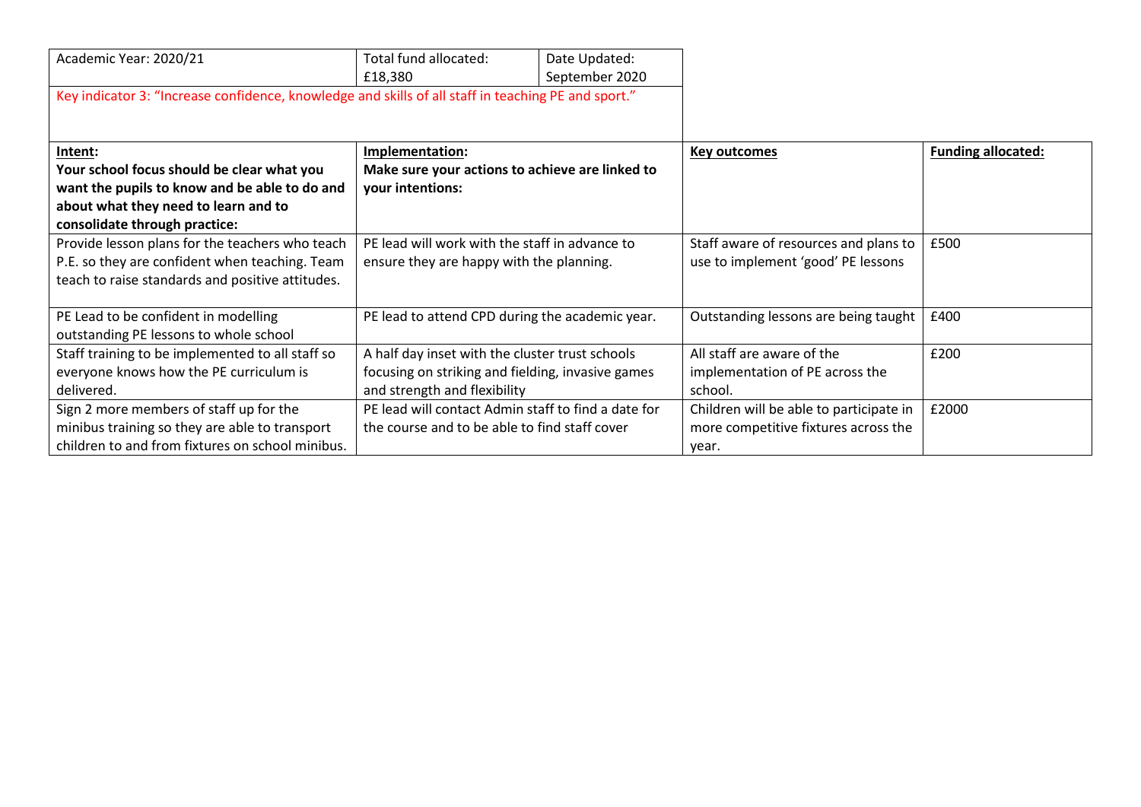| Academic Year: 2020/21                                                                              | Total fund allocated:<br>£18,380                    | Date Updated:<br>September 2020 |                                         |                           |
|-----------------------------------------------------------------------------------------------------|-----------------------------------------------------|---------------------------------|-----------------------------------------|---------------------------|
| Key indicator 3: "Increase confidence, knowledge and skills of all staff in teaching PE and sport." |                                                     |                                 |                                         |                           |
| Intent:                                                                                             | Implementation:                                     |                                 | <b>Key outcomes</b>                     | <b>Funding allocated:</b> |
| Your school focus should be clear what you                                                          | Make sure your actions to achieve are linked to     |                                 |                                         |                           |
| want the pupils to know and be able to do and                                                       | your intentions:                                    |                                 |                                         |                           |
| about what they need to learn and to                                                                |                                                     |                                 |                                         |                           |
| consolidate through practice:                                                                       |                                                     |                                 |                                         |                           |
| Provide lesson plans for the teachers who teach                                                     | PE lead will work with the staff in advance to      |                                 | Staff aware of resources and plans to   | £500                      |
| P.E. so they are confident when teaching. Team                                                      | ensure they are happy with the planning.            |                                 | use to implement 'good' PE lessons      |                           |
| teach to raise standards and positive attitudes.                                                    |                                                     |                                 |                                         |                           |
|                                                                                                     |                                                     |                                 |                                         |                           |
| PE Lead to be confident in modelling                                                                | PE lead to attend CPD during the academic year.     |                                 | Outstanding lessons are being taught    | £400                      |
| outstanding PE lessons to whole school                                                              |                                                     |                                 |                                         |                           |
| Staff training to be implemented to all staff so                                                    | A half day inset with the cluster trust schools     |                                 | All staff are aware of the              | £200                      |
| everyone knows how the PE curriculum is                                                             | focusing on striking and fielding, invasive games   |                                 | implementation of PE across the         |                           |
| delivered.                                                                                          | and strength and flexibility                        |                                 | school.                                 |                           |
| Sign 2 more members of staff up for the                                                             | PE lead will contact Admin staff to find a date for |                                 | Children will be able to participate in | £2000                     |
| minibus training so they are able to transport                                                      | the course and to be able to find staff cover       |                                 | more competitive fixtures across the    |                           |
| children to and from fixtures on school minibus.                                                    |                                                     |                                 | year.                                   |                           |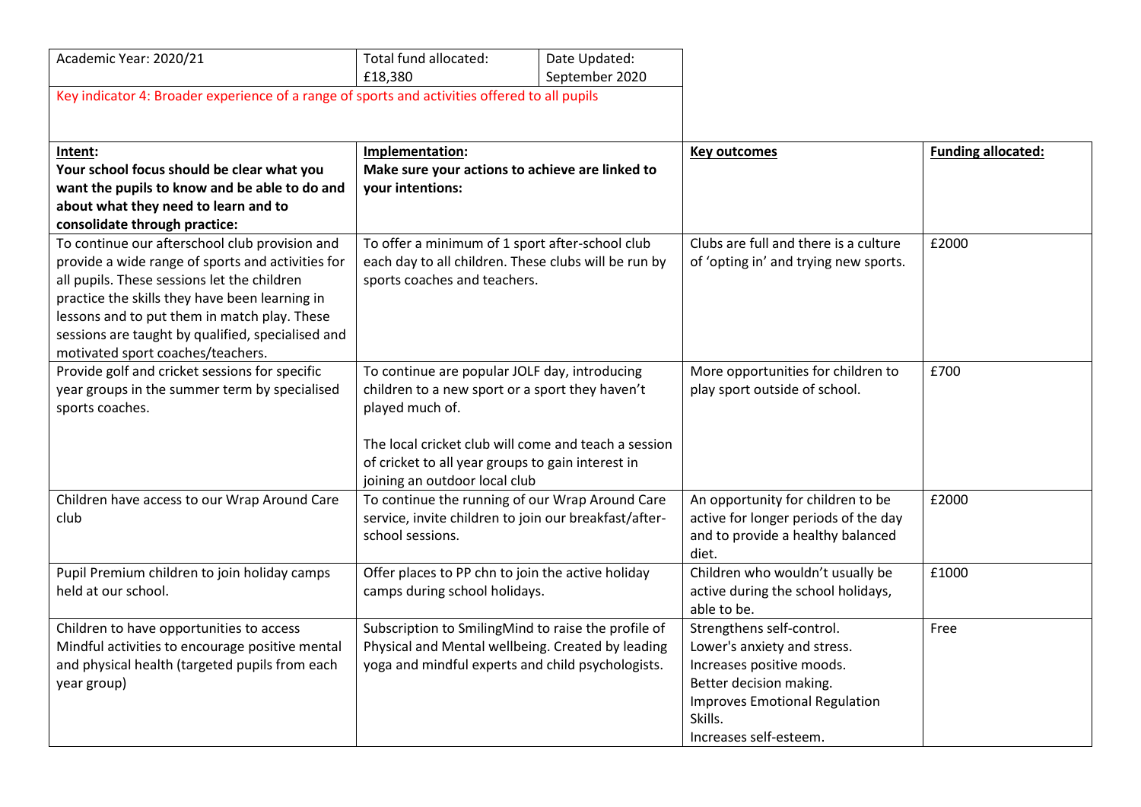| Academic Year: 2020/21                                                                        | Total fund allocated:                                                                                                        | Date Updated:  |                                                      |                           |
|-----------------------------------------------------------------------------------------------|------------------------------------------------------------------------------------------------------------------------------|----------------|------------------------------------------------------|---------------------------|
|                                                                                               | £18,380                                                                                                                      | September 2020 |                                                      |                           |
| Key indicator 4: Broader experience of a range of sports and activities offered to all pupils |                                                                                                                              |                |                                                      |                           |
|                                                                                               |                                                                                                                              |                |                                                      |                           |
| Intent:                                                                                       | Implementation:                                                                                                              |                | <b>Key outcomes</b>                                  | <b>Funding allocated:</b> |
| Your school focus should be clear what you                                                    | Make sure your actions to achieve are linked to                                                                              |                |                                                      |                           |
| want the pupils to know and be able to do and                                                 | your intentions:                                                                                                             |                |                                                      |                           |
| about what they need to learn and to                                                          |                                                                                                                              |                |                                                      |                           |
| consolidate through practice:                                                                 |                                                                                                                              |                |                                                      |                           |
| To continue our afterschool club provision and                                                | To offer a minimum of 1 sport after-school club                                                                              |                | Clubs are full and there is a culture                | £2000                     |
| provide a wide range of sports and activities for                                             | each day to all children. These clubs will be run by                                                                         |                | of 'opting in' and trying new sports.                |                           |
| all pupils. These sessions let the children                                                   | sports coaches and teachers.                                                                                                 |                |                                                      |                           |
| practice the skills they have been learning in                                                |                                                                                                                              |                |                                                      |                           |
| lessons and to put them in match play. These                                                  |                                                                                                                              |                |                                                      |                           |
| sessions are taught by qualified, specialised and                                             |                                                                                                                              |                |                                                      |                           |
| motivated sport coaches/teachers.                                                             |                                                                                                                              |                |                                                      |                           |
| Provide golf and cricket sessions for specific                                                | To continue are popular JOLF day, introducing                                                                                |                | More opportunities for children to                   | £700                      |
| year groups in the summer term by specialised                                                 | children to a new sport or a sport they haven't                                                                              |                | play sport outside of school.                        |                           |
| sports coaches.                                                                               | played much of.                                                                                                              |                |                                                      |                           |
|                                                                                               |                                                                                                                              |                |                                                      |                           |
|                                                                                               | The local cricket club will come and teach a session<br>of cricket to all year groups to gain interest in                    |                |                                                      |                           |
|                                                                                               |                                                                                                                              |                |                                                      |                           |
|                                                                                               | joining an outdoor local club                                                                                                |                |                                                      |                           |
| Children have access to our Wrap Around Care                                                  | To continue the running of our Wrap Around Care<br>service, invite children to join our breakfast/after-<br>school sessions. |                | An opportunity for children to be                    | £2000                     |
| club                                                                                          |                                                                                                                              |                | active for longer periods of the day                 |                           |
|                                                                                               |                                                                                                                              |                | and to provide a healthy balanced                    |                           |
|                                                                                               |                                                                                                                              |                | diet.                                                |                           |
| Pupil Premium children to join holiday camps                                                  | Offer places to PP chn to join the active holiday                                                                            |                | Children who wouldn't usually be                     | £1000                     |
| held at our school.                                                                           | camps during school holidays.                                                                                                |                | active during the school holidays,                   |                           |
|                                                                                               |                                                                                                                              |                | able to be.                                          |                           |
| Children to have opportunities to access                                                      | Subscription to SmilingMind to raise the profile of                                                                          |                | Strengthens self-control.                            | Free                      |
| Mindful activities to encourage positive mental                                               | Physical and Mental wellbeing. Created by leading                                                                            |                | Lower's anxiety and stress.                          |                           |
| and physical health (targeted pupils from each                                                | yoga and mindful experts and child psychologists.                                                                            |                | Increases positive moods.<br>Better decision making. |                           |
| year group)                                                                                   |                                                                                                                              |                |                                                      |                           |
|                                                                                               |                                                                                                                              |                |                                                      |                           |
|                                                                                               |                                                                                                                              |                | Skills.                                              |                           |
|                                                                                               |                                                                                                                              |                | Increases self-esteem.                               |                           |